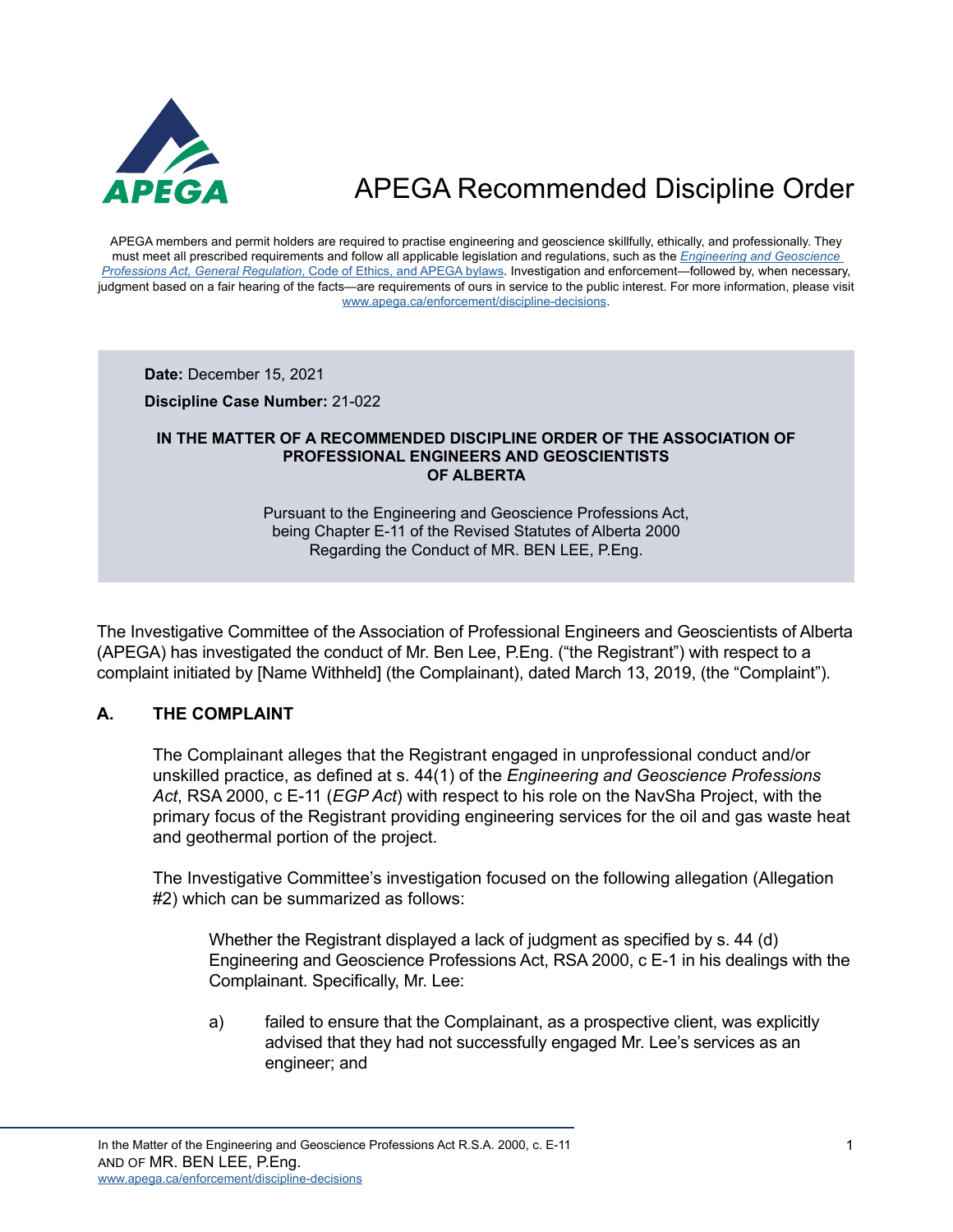

APEGA members and permit holders are required to practise engineering and geoscience skillfully, ethically, and professionally. They must meet all prescribed requirements and follow all applicable legislation and regulations, such as the *[Engineering and Geoscience](https://www.apega.ca/about-apega/publications/engineering-and-geoscience-professions-act)  Professions Act, General Regulation*[, Code of Ethics, and APEGA bylaws.](https://www.apega.ca/about-apega/publications/engineering-and-geoscience-professions-act) Investigation and enforcement—followed by, when necessary, judgment based on a fair hearing of the facts—are requirements of ours in service to the public interest. For more information, please visit [www.apega.ca/enforcement/discipline-decisions.](https://www.apega.ca/enforcement/discipline-decisions)

**Date:** December 15, 2021

**Discipline Case Number:** 21-022

#### **IN THE MATTER OF A RECOMMENDED DISCIPLINE ORDER OF THE ASSOCIATION OF PROFESSIONAL ENGINEERS AND GEOSCIENTISTS OF ALBERTA**

Pursuant to the Engineering and Geoscience Professions Act, being Chapter E-11 of the Revised Statutes of Alberta 2000 Regarding the Conduct of MR. BEN LEE, P.Eng.

The Investigative Committee of the Association of Professional Engineers and Geoscientists of Alberta (APEGA) has investigated the conduct of Mr. Ben Lee, P.Eng. ("the Registrant") with respect to a complaint initiated by [Name Withheld] (the Complainant), dated March 13, 2019, (the "Complaint").

### **A. THE COMPLAINT**

The Complainant alleges that the Registrant engaged in unprofessional conduct and/or unskilled practice, as defined at s. 44(1) of the *Engineering and Geoscience Professions Act*, RSA 2000, c E-11 (*EGP Act*) with respect to his role on the NavSha Project, with the primary focus of the Registrant providing engineering services for the oil and gas waste heat and geothermal portion of the project.

The Investigative Committee's investigation focused on the following allegation (Allegation #2) which can be summarized as follows:

Whether the Registrant displayed a lack of judgment as specified by s. 44 (d) Engineering and Geoscience Professions Act, RSA 2000, c E-1 in his dealings with the Complainant. Specifically, Mr. Lee:

a) failed to ensure that the Complainant, as a prospective client, was explicitly advised that they had not successfully engaged Mr. Lee's services as an engineer; and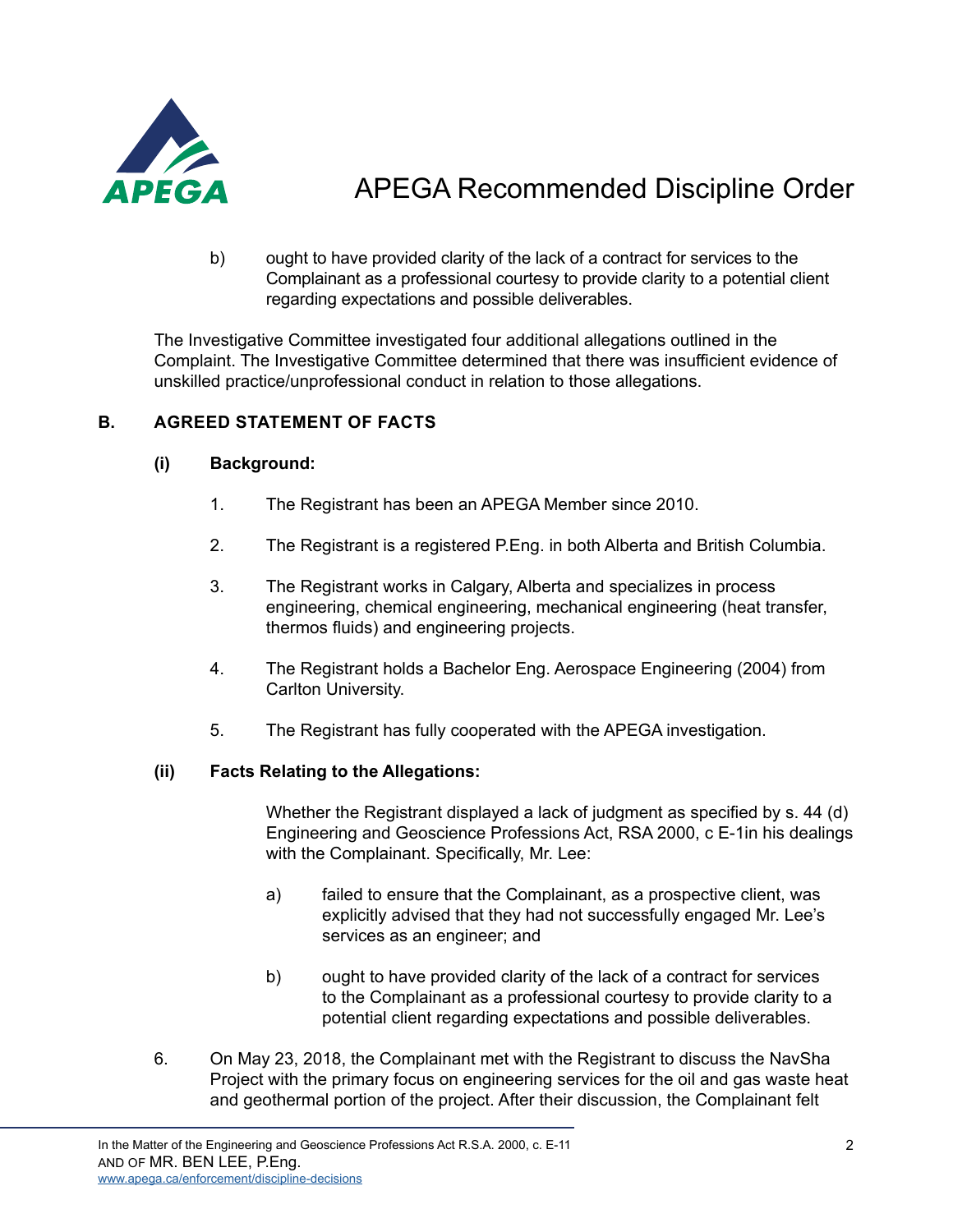

b) ought to have provided clarity of the lack of a contract for services to the Complainant as a professional courtesy to provide clarity to a potential client regarding expectations and possible deliverables.

The Investigative Committee investigated four additional allegations outlined in the Complaint. The Investigative Committee determined that there was insufficient evidence of unskilled practice/unprofessional conduct in relation to those allegations.

### **B. AGREED STATEMENT OF FACTS**

### **(i) Background:**

- 1. The Registrant has been an APEGA Member since 2010.
- 2. The Registrant is a registered P.Eng. in both Alberta and British Columbia.
- 3. The Registrant works in Calgary, Alberta and specializes in process engineering, chemical engineering, mechanical engineering (heat transfer, thermos fluids) and engineering projects.
- 4. The Registrant holds a Bachelor Eng. Aerospace Engineering (2004) from Carlton University.
- 5. The Registrant has fully cooperated with the APEGA investigation.

### **(ii) Facts Relating to the Allegations:**

Whether the Registrant displayed a lack of judgment as specified by s. 44 (d) Engineering and Geoscience Professions Act, RSA 2000, c E-1in his dealings with the Complainant. Specifically, Mr. Lee:

- a) failed to ensure that the Complainant, as a prospective client, was explicitly advised that they had not successfully engaged Mr. Lee's services as an engineer; and
- b) ought to have provided clarity of the lack of a contract for services to the Complainant as a professional courtesy to provide clarity to a potential client regarding expectations and possible deliverables.
- 6. On May 23, 2018, the Complainant met with the Registrant to discuss the NavSha Project with the primary focus on engineering services for the oil and gas waste heat and geothermal portion of the project. After their discussion, the Complainant felt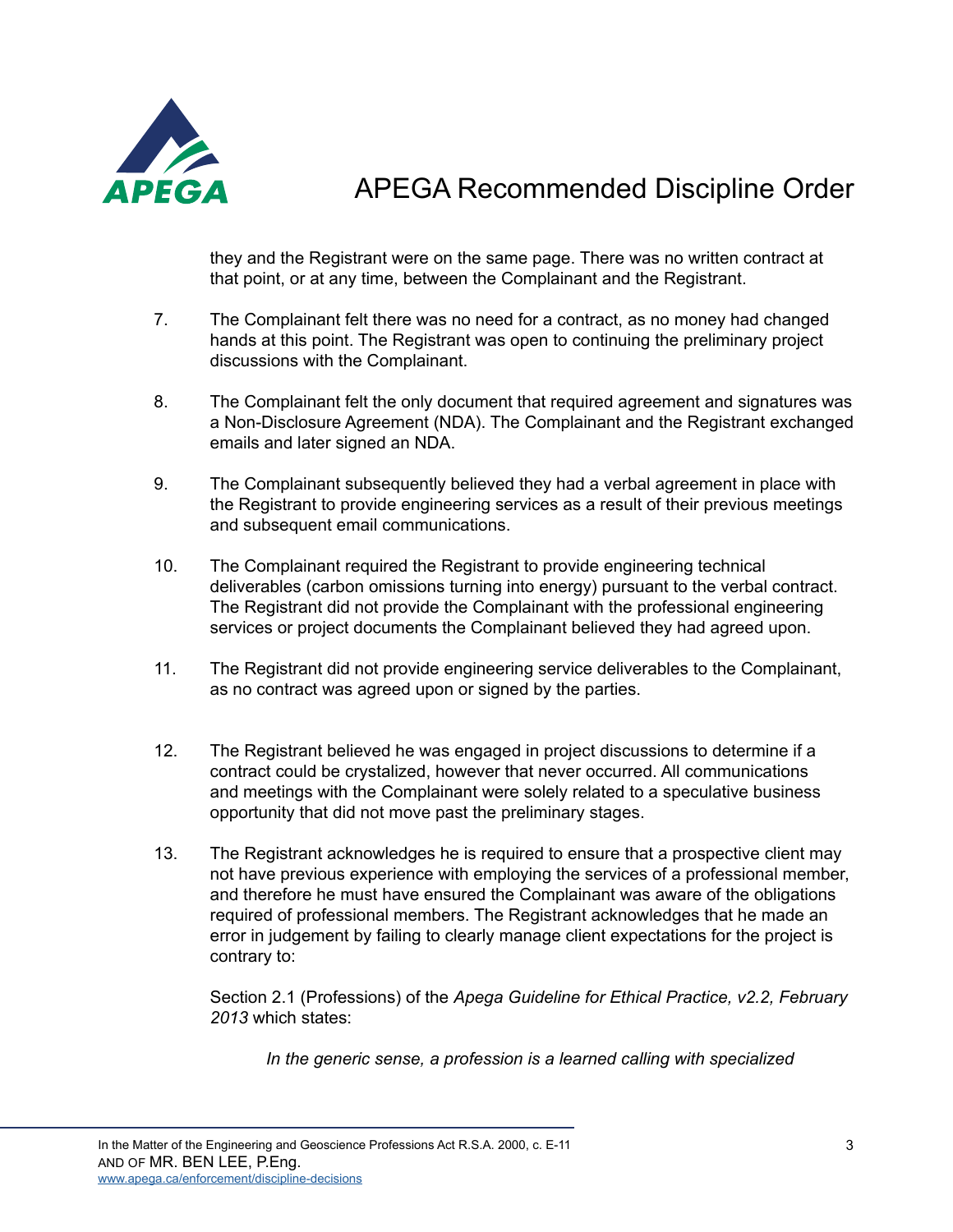

they and the Registrant were on the same page. There was no written contract at that point, or at any time, between the Complainant and the Registrant.

- 7. The Complainant felt there was no need for a contract, as no money had changed hands at this point. The Registrant was open to continuing the preliminary project discussions with the Complainant.
- 8. The Complainant felt the only document that required agreement and signatures was a Non-Disclosure Agreement (NDA). The Complainant and the Registrant exchanged emails and later signed an NDA.
- 9. The Complainant subsequently believed they had a verbal agreement in place with the Registrant to provide engineering services as a result of their previous meetings and subsequent email communications.
- 10. The Complainant required the Registrant to provide engineering technical deliverables (carbon omissions turning into energy) pursuant to the verbal contract. The Registrant did not provide the Complainant with the professional engineering services or project documents the Complainant believed they had agreed upon.
- 11. The Registrant did not provide engineering service deliverables to the Complainant, as no contract was agreed upon or signed by the parties.
- 12. The Registrant believed he was engaged in project discussions to determine if a contract could be crystalized, however that never occurred. All communications and meetings with the Complainant were solely related to a speculative business opportunity that did not move past the preliminary stages.
- 13. The Registrant acknowledges he is required to ensure that a prospective client may not have previous experience with employing the services of a professional member, and therefore he must have ensured the Complainant was aware of the obligations required of professional members. The Registrant acknowledges that he made an error in judgement by failing to clearly manage client expectations for the project is contrary to:

Section 2.1 (Professions) of the *Apega Guideline for Ethical Practice, v2.2, February 2013* which states:

*In the generic sense, a profession is a learned calling with specialized*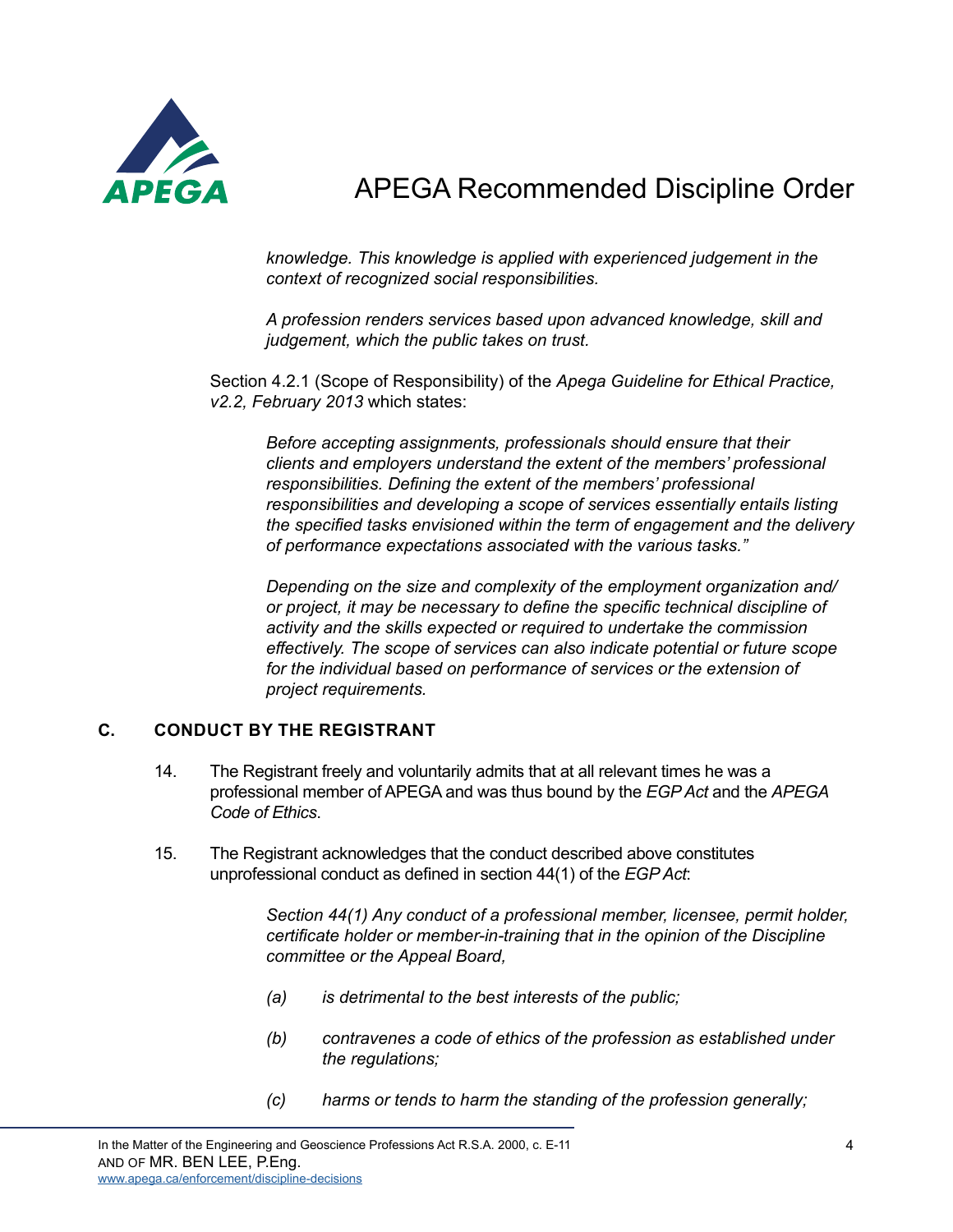

*knowledge. This knowledge is applied with experienced judgement in the context of recognized social responsibilities.* 

*A profession renders services based upon advanced knowledge, skill and judgement, which the public takes on trust.* 

Section 4.2.1 (Scope of Responsibility) of the *Apega Guideline for Ethical Practice, v2.2, February 2013* which states:

*Before accepting assignments, professionals should ensure that their clients and employers understand the extent of the members' professional responsibilities. Defining the extent of the members' professional responsibilities and developing a scope of services essentially entails listing the specified tasks envisioned within the term of engagement and the delivery of performance expectations associated with the various tasks."* 

*Depending on the size and complexity of the employment organization and/ or project, it may be necessary to define the specific technical discipline of activity and the skills expected or required to undertake the commission effectively. The scope of services can also indicate potential or future scope for the individual based on performance of services or the extension of project requirements.*

### **C. CONDUCT BY THE REGISTRANT**

- 14. The Registrant freely and voluntarily admits that at all relevant times he was a professional member of APEGA and was thus bound by the *EGP Act* and the *APEGA Code of Ethics*.
- 15. The Registrant acknowledges that the conduct described above constitutes unprofessional conduct as defined in section 44(1) of the *EGP Act*:

*Section 44(1) Any conduct of a professional member, licensee, permit holder, certificate holder or member-in-training that in the opinion of the Discipline committee or the Appeal Board,* 

- *(a) is detrimental to the best interests of the public;*
- *(b) contravenes a code of ethics of the profession as established under the regulations;*
- *(c) harms or tends to harm the standing of the profession generally;*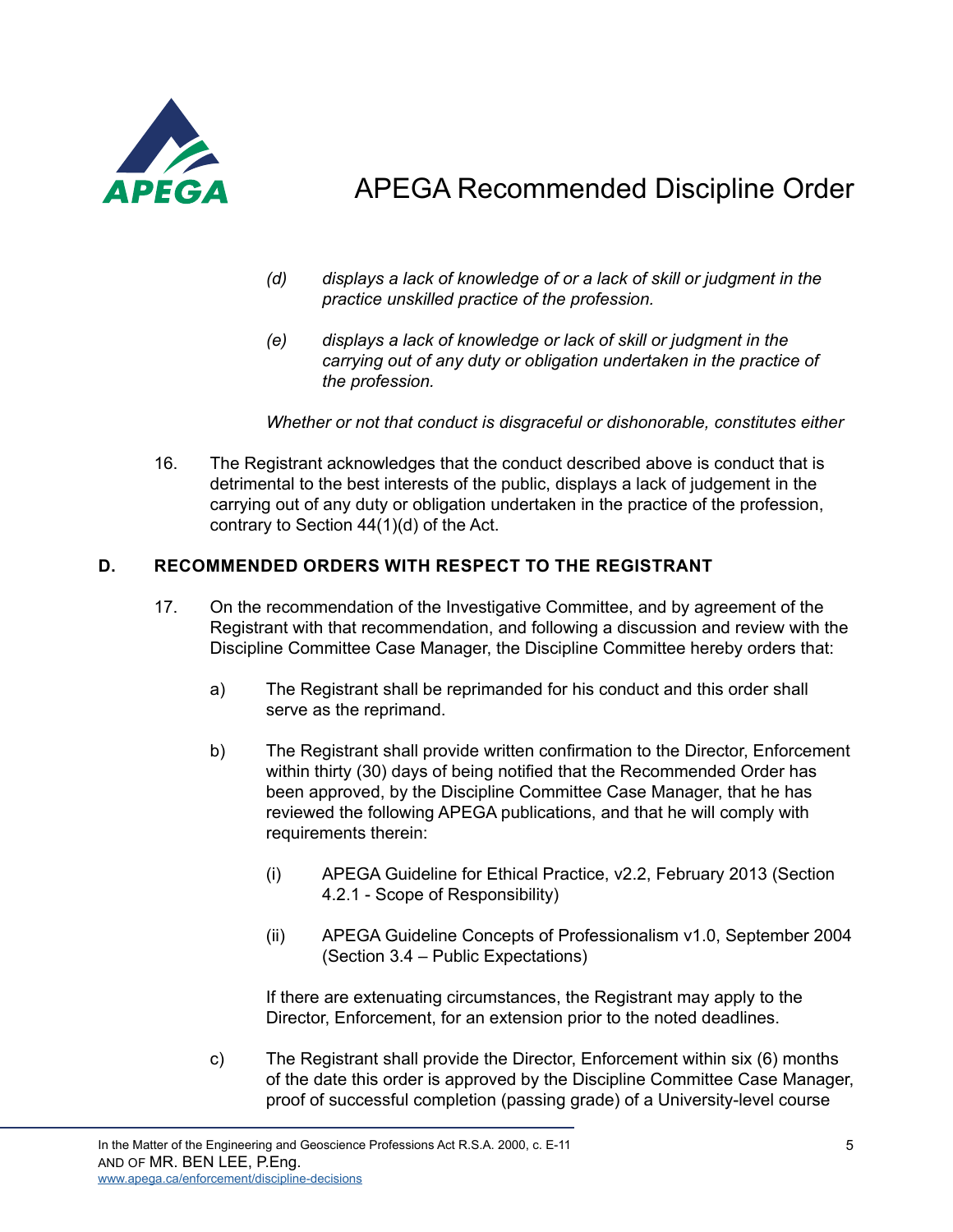

- *(d) displays a lack of knowledge of or a lack of skill or judgment in the practice unskilled practice of the profession.*
- *(e) displays a lack of knowledge or lack of skill or judgment in the carrying out of any duty or obligation undertaken in the practice of the profession.*

*Whether or not that conduct is disgraceful or dishonorable, constitutes either* 

16. The Registrant acknowledges that the conduct described above is conduct that is detrimental to the best interests of the public, displays a lack of judgement in the carrying out of any duty or obligation undertaken in the practice of the profession, contrary to Section 44(1)(d) of the Act.

### **D. RECOMMENDED ORDERS WITH RESPECT TO THE REGISTRANT**

- 17. On the recommendation of the Investigative Committee, and by agreement of the Registrant with that recommendation, and following a discussion and review with the Discipline Committee Case Manager, the Discipline Committee hereby orders that:
	- a) The Registrant shall be reprimanded for his conduct and this order shall serve as the reprimand.
	- b) The Registrant shall provide written confirmation to the Director, Enforcement within thirty (30) days of being notified that the Recommended Order has been approved, by the Discipline Committee Case Manager, that he has reviewed the following APEGA publications, and that he will comply with requirements therein:
		- (i) APEGA Guideline for Ethical Practice, v2.2, February 2013 (Section 4.2.1 - Scope of Responsibility)
		- (ii) APEGA Guideline Concepts of Professionalism v1.0, September 2004 (Section 3.4 – Public Expectations)

If there are extenuating circumstances, the Registrant may apply to the Director, Enforcement, for an extension prior to the noted deadlines.

c) The Registrant shall provide the Director, Enforcement within six (6) months of the date this order is approved by the Discipline Committee Case Manager, proof of successful completion (passing grade) of a University-level course